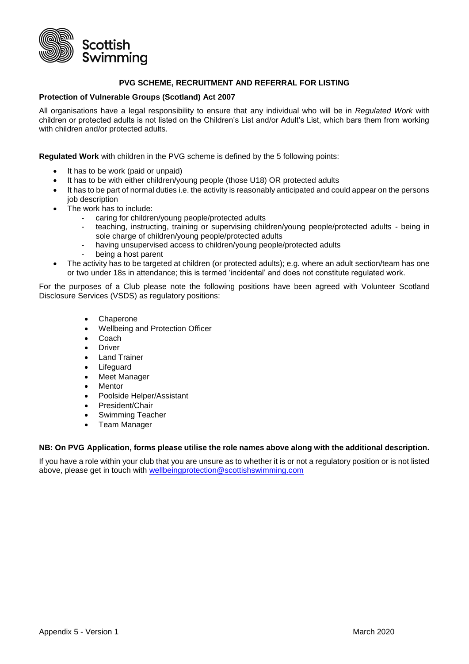

## **PVG SCHEME, RECRUITMENT AND REFERRAL FOR LISTING**

#### **Protection of Vulnerable Groups (Scotland) Act 2007**

All organisations have a legal responsibility to ensure that any individual who will be in *Regulated Work* with children or protected adults is not listed on the Children's List and/or Adult's List, which bars them from working with children and/or protected adults.

**Regulated Work** with children in the PVG scheme is defined by the 5 following points:

- It has to be work (paid or unpaid)
- It has to be with either children/young people (those U18) OR protected adults
- It has to be part of normal duties i.e. the activity is reasonably anticipated and could appear on the persons job description
- The work has to include:
	- caring for children/young people/protected adults
		- teaching, instructing, training or supervising children/young people/protected adults being in sole charge of children/young people/protected adults
		- having unsupervised access to children/young people/protected adults
		- being a host parent
- The activity has to be targeted at children (or protected adults); e.g. where an adult section/team has one or two under 18s in attendance; this is termed 'incidental' and does not constitute regulated work.

For the purposes of a Club please note the following positions have been agreed with Volunteer Scotland Disclosure Services (VSDS) as regulatory positions:

- Chaperone
- Wellbeing and Protection Officer
- Coach
- Driver
- Land Trainer
- Lifeguard
- Meet Manager
- Mentor
- Poolside Helper/Assistant
- President/Chair
- Swimming Teacher
- Team Manager

#### **NB: On PVG Application, forms please utilise the role names above along with the additional description.**

If you have a role within your club that you are unsure as to whether it is or not a regulatory position or is not listed above, please get in touch with [wellbeingprotection@scottishswimming.com](mailto:wellbeingprotection@scottishswimming.com)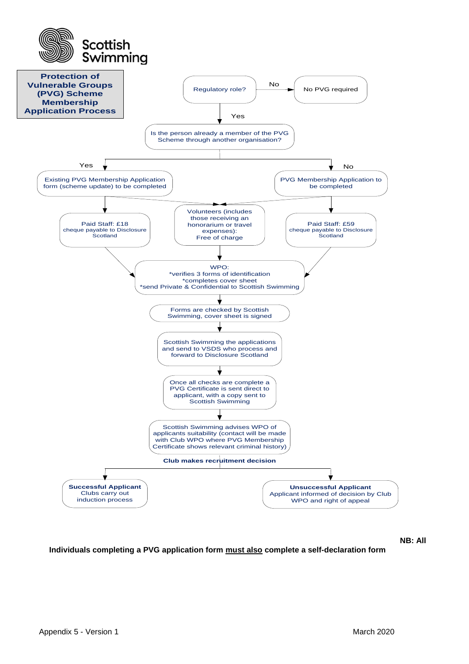

### **NB: All**

# **Individuals completing a PVG application form must also complete a self-declaration form**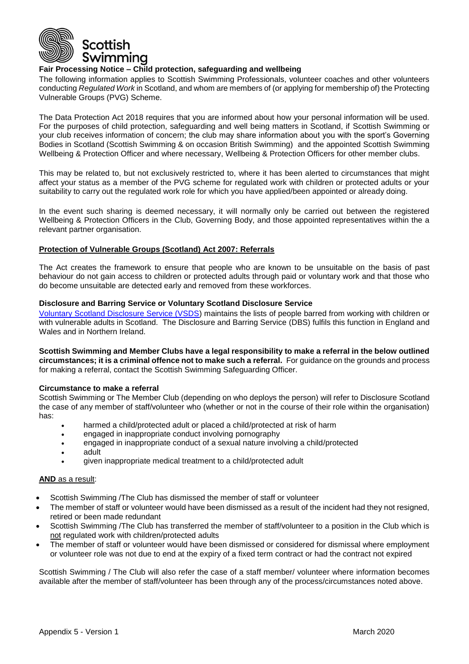

# **Fair Processing Notice – Child protection, safeguarding and wellbeing**

The following information applies to Scottish Swimming Professionals, volunteer coaches and other volunteers conducting *Regulated Work* in Scotland, and whom are members of (or applying for membership of) the Protecting Vulnerable Groups (PVG) Scheme.

The Data Protection Act 2018 requires that you are informed about how your personal information will be used. For the purposes of child protection, safeguarding and well being matters in Scotland, if Scottish Swimming or your club receives information of concern; the club may share information about you with the sport's Governing Bodies in Scotland (Scottish Swimming & on occasion British Swimming) and the appointed Scottish Swimming Wellbeing & Protection Officer and where necessary, Wellbeing & Protection Officers for other member clubs.

This may be related to, but not exclusively restricted to, where it has been alerted to circumstances that might affect your status as a member of the PVG scheme for regulated work with children or protected adults or your suitability to carry out the regulated work role for which you have applied/been appointed or already doing.

In the event such sharing is deemed necessary, it will normally only be carried out between the registered Wellbeing & Protection Officers in the Club, Governing Body, and those appointed representatives within the a relevant partner organisation.

#### **Protection of Vulnerable Groups (Scotland) Act 2007: Referrals**

The Act creates the framework to ensure that people who are known to be unsuitable on the basis of past behaviour do not gain access to children or protected adults through paid or voluntary work and that those who do become unsuitable are detected early and removed from these workforces.

#### **Disclosure and Barring Service or Voluntary Scotland Disclosure Service**

[Voluntary Scotland Disclosure Service \(VSDS\)](https://www.volunteerscotland.net/) maintains the lists of people barred from working with children or with vulnerable adults in Scotland. The Disclosure and Barring Service (DBS) fulfils this function in England and Wales and in Northern Ireland.

**Scottish Swimming and Member Clubs have a legal responsibility to make a referral in the below outlined circumstances; it is a criminal offence not to make such a referral.** For guidance on the grounds and process for making a referral, contact the Scottish Swimming Safeguarding Officer.

#### **Circumstance to make a referral**

Scottish Swimming or The Member Club (depending on who deploys the person) will refer to Disclosure Scotland the case of any member of staff/volunteer who (whether or not in the course of their role within the organisation) has:

- harmed a child/protected adult or placed a child/protected at risk of harm
- engaged in inappropriate conduct involving pornography
- engaged in inappropriate conduct of a sexual nature involving a child/protected
- adult
- given inappropriate medical treatment to a child/protected adult

#### **AND** as a result:

- Scottish Swimming /The Club has dismissed the member of staff or volunteer
- The member of staff or volunteer would have been dismissed as a result of the incident had they not resigned, retired or been made redundant
- Scottish Swimming /The Club has transferred the member of staff/volunteer to a position in the Club which is not regulated work with children/protected adults
- The member of staff or volunteer would have been dismissed or considered for dismissal where employment or volunteer role was not due to end at the expiry of a fixed term contract or had the contract not expired

Scottish Swimming / The Club will also refer the case of a staff member/ volunteer where information becomes available after the member of staff/volunteer has been through any of the process/circumstances noted above.